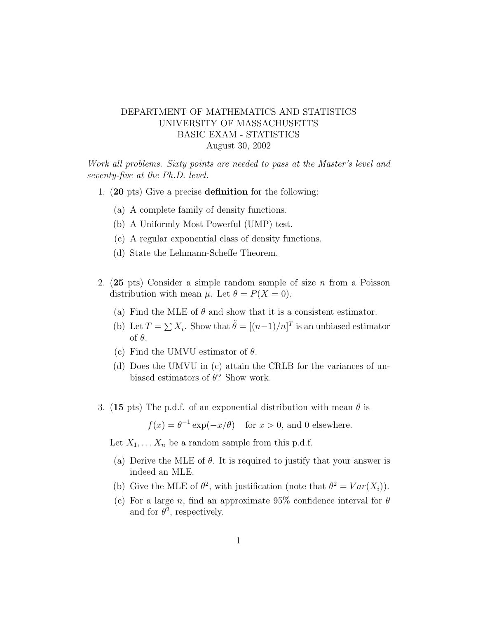## DEPARTMENT OF MATHEMATICS AND STATISTICS UNIVERSITY OF MASSACHUSETTS BASIC EXAM - STATISTICS August 30, 2002

Work all problems. Sixty points are needed to pass at the Master's level and seventy-five at the Ph.D. level.

- 1. (20 pts) Give a precise definition for the following:
	- (a) A complete family of density functions.
	- (b) A Uniformly Most Powerful (UMP) test.
	- (c) A regular exponential class of density functions.
	- (d) State the Lehmann-Scheffe Theorem.
- 2.  $(25 \text{ pts})$  Consider a simple random sample of size *n* from a Poisson distribution with mean  $\mu$ . Let  $\theta = P(X = 0)$ .
	- (a) Find the MLE of  $\theta$  and show that it is a consistent estimator.
	- (b) Let  $T = \sum X_i$ . Show that  $\tilde{\theta} = [(n-1)/n]^T$  is an unbiased estimator of θ.
	- (c) Find the UMVU estimator of  $\theta$ .
	- (d) Does the UMVU in (c) attain the CRLB for the variances of unbiased estimators of  $\theta$ ? Show work.
- 3. (15 pts) The p.d.f. of an exponential distribution with mean  $\theta$  is

 $f(x) = \theta^{-1} \exp(-x/\theta)$  for  $x > 0$ , and 0 elsewhere.

Let  $X_1, \ldots X_n$  be a random sample from this p.d.f.

- (a) Derive the MLE of  $\theta$ . It is required to justify that your answer is indeed an MLE.
- (b) Give the MLE of  $\theta^2$ , with justification (note that  $\theta^2 = Var(X_i)$ ).
- (c) For a large n, find an approximate 95% confidence interval for  $\theta$ and for  $\theta^2$ , respectively.